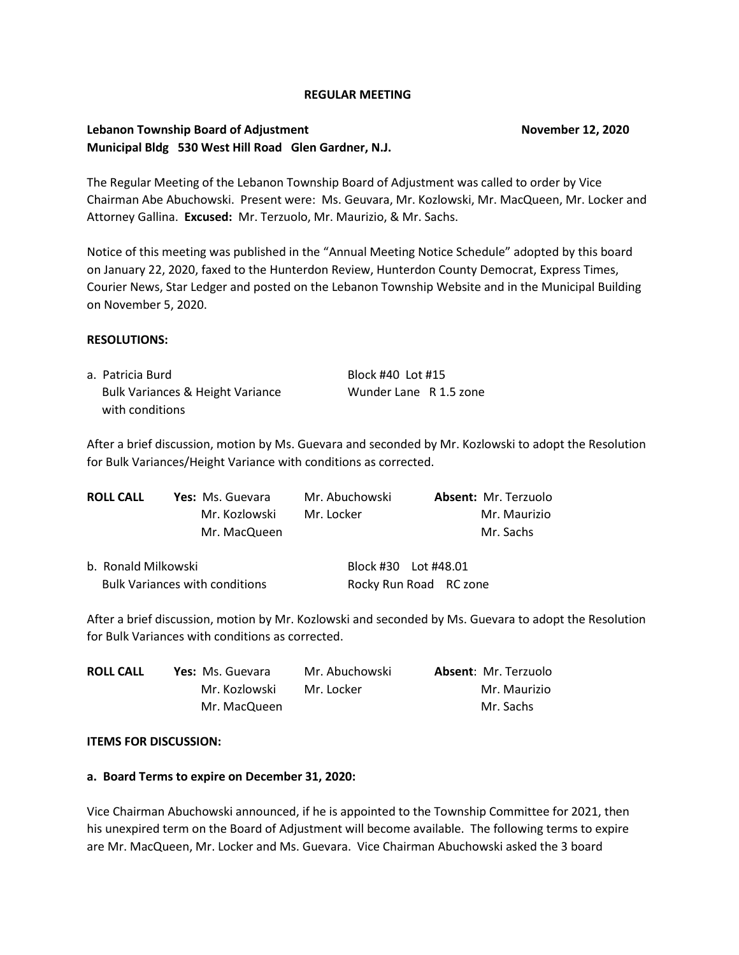### **REGULAR MEETING**

# **Lebanon Township Board of Adjustment November 12, 2020 Municipal Bldg 530 West Hill Road Glen Gardner, N.J.**

The Regular Meeting of the Lebanon Township Board of Adjustment was called to order by Vice Chairman Abe Abuchowski. Present were: Ms. Geuvara, Mr. Kozlowski, Mr. MacQueen, Mr. Locker and Attorney Gallina. **Excused:** Mr. Terzuolo, Mr. Maurizio, & Mr. Sachs.

Notice of this meeting was published in the "Annual Meeting Notice Schedule" adopted by this board on January 22, 2020, faxed to the Hunterdon Review, Hunterdon County Democrat, Express Times, Courier News, Star Ledger and posted on the Lebanon Township Website and in the Municipal Building on November 5, 2020.

### **RESOLUTIONS:**

| a. Patricia Burd                            | Block #40 Lot #15      |  |
|---------------------------------------------|------------------------|--|
| <b>Bulk Variances &amp; Height Variance</b> | Wunder Lane R 1.5 zone |  |
| with conditions                             |                        |  |

After a brief discussion, motion by Ms. Guevara and seconded by Mr. Kozlowski to adopt the Resolution for Bulk Variances/Height Variance with conditions as corrected.

| <b>ROLL CALL</b> | Yes: Ms. Guevara | Mr. Abuchowski | <b>Absent: Mr. Terzuolo</b> |
|------------------|------------------|----------------|-----------------------------|
|                  | Mr. Kozlowski    | Mr. Locker     | Mr. Maurizio                |
|                  | Mr. MacQueen     |                | Mr. Sachs                   |
|                  |                  |                |                             |

| b. Ronald Milkowski                   | Block #30    Lot #48.01 |  |
|---------------------------------------|-------------------------|--|
| <b>Bulk Variances with conditions</b> | Rocky Run Road RC zone  |  |

After a brief discussion, motion by Mr. Kozlowski and seconded by Ms. Guevara to adopt the Resolution for Bulk Variances with conditions as corrected.

| <b>ROLL CALL</b> | <b>Yes:</b> Ms. Guevara | Mr. Abuchowski | <b>Absent: Mr. Terzuolo</b> |
|------------------|-------------------------|----------------|-----------------------------|
|                  | Mr. Kozlowski           | Mr. Locker     | Mr. Maurizio                |
|                  | Mr. MacQueen            |                | Mr. Sachs                   |

### **ITEMS FOR DISCUSSION:**

## **a. Board Terms to expire on December 31, 2020:**

Vice Chairman Abuchowski announced, if he is appointed to the Township Committee for 2021, then his unexpired term on the Board of Adjustment will become available. The following terms to expire are Mr. MacQueen, Mr. Locker and Ms. Guevara. Vice Chairman Abuchowski asked the 3 board